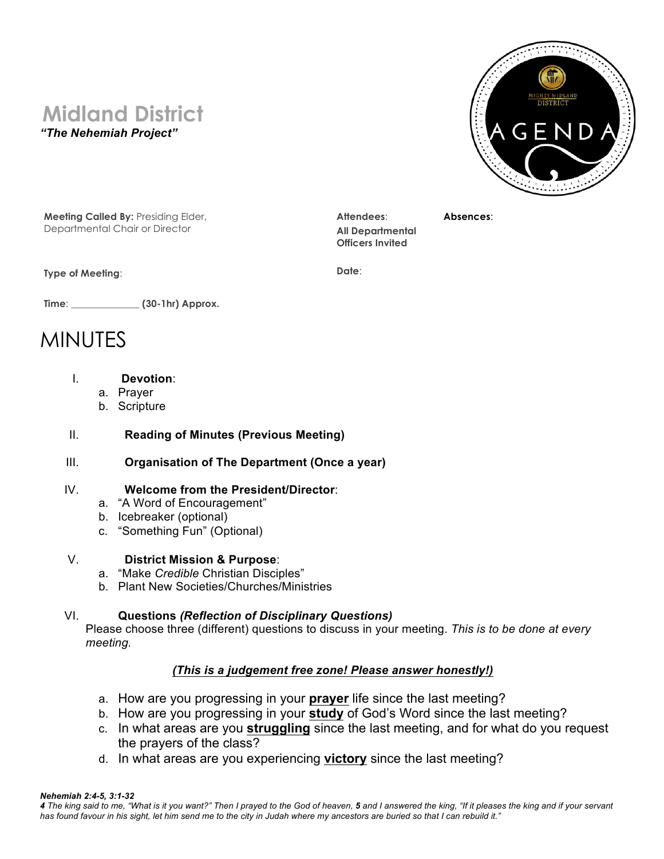# **Midland District**

*"The Nehemiah Project"*



**Meeting Called By:** Presiding Elder, Departmental Chair or Director

**Type of Meeting**:

**Attendees**: **All Departmental Officers Invited**

**Absences**:

**Date**:

**Time**: \_\_\_\_\_\_\_\_\_\_\_\_\_\_ **(30-1hr) Approx.**

## MINUTES

- I. **Devotion**:
	- a. Prayer
	- b. Scripture

#### II. **Reading of Minutes (Previous Meeting)**

#### III. **Organisation of The Department (Once a year)**

#### IV. **Welcome from the President/Director**:

- a. "A Word of Encouragement"
- b. Icebreaker (optional)
- c. "Something Fun" (Optional)

#### V. **District Mission & Purpose**:

- a. "Make *Credible* Christian Disciples"
- b. Plant New Societies/Churches/Ministries

#### VI. **Questions** *(Reflection of Disciplinary Questions)*

 Please choose three (different) questions to discuss in your meeting. *This is to be done at every meeting.*

### *(This is a judgement free zone! Please answer honestly!)*

- a. How are you progressing in your **prayer** life since the last meeting?
- b. How are you progressing in your **study** of God's Word since the last meeting?
- c. In what areas are you **struggling** since the last meeting, and for what do you request the prayers of the class?
- d. In what areas are you experiencing **victory** since the last meeting?

#### *Nehemiah 2:4-5, 3:1-32*